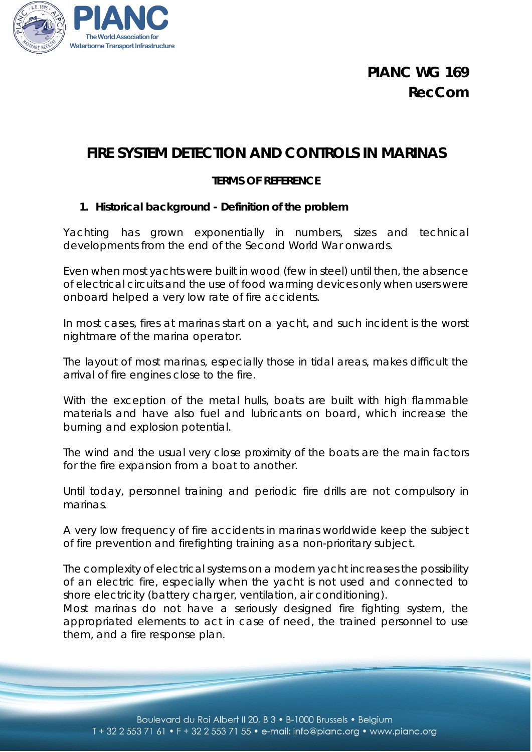

# **FIRE SYSTEM DETECTION AND CONTROLS IN MARINAS**

## **TERMS OF REFERENCE**

#### **1. Historical background - Definition of the problem**

Yachting has grown exponentially in numbers, sizes and technical developments from the end of the Second World War onwards.

Even when most yachts were built in wood (few in steel) until then, the absence of electrical circuits and the use of food warming devices only when users were onboard helped a very low rate of fire accidents.

In most cases, fires at marinas start on a yacht, and such incident is the worst nightmare of the marina operator.

The layout of most marinas, especially those in tidal areas, makes difficult the arrival of fire engines close to the fire.

With the exception of the metal hulls, boats are built with high flammable materials and have also fuel and lubricants on board, which increase the burning and explosion potential.

The wind and the usual very close proximity of the boats are the main factors for the fire expansion from a boat to another.

Until today, personnel training and periodic fire drills are not compulsory in marinas.

A very low frequency of fire accidents in marinas worldwide keep the subject of fire prevention and firefighting training as a non-prioritary subject.

The complexity of electrical systems on a modern yacht increases the possibility of an electric fire, especially when the yacht is not used and connected to shore electricity (battery charger, ventilation, air conditioning).

Most marinas do not have a seriously designed fire fighting system, the appropriated elements to act in case of need, the trained personnel to use them, and a fire response plan.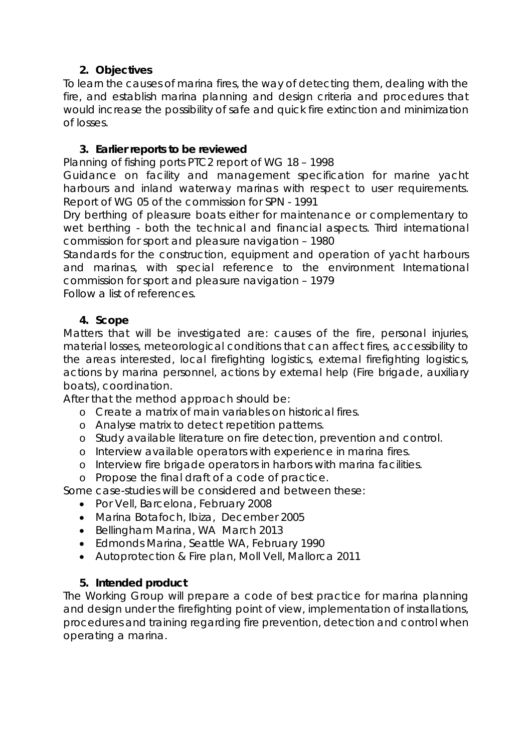## **2. Objectives**

To learn the causes of marina fires, the way of detecting them, dealing with the fire, and establish marina planning and design criteria and procedures that would increase the possibility of safe and quick fire extinction and minimization of losses.

## **3. Earlier reports to be reviewed**

[Planning of fishing ports](http://www.pianc.org/edits/articleshop.php?id=2000181) PTC2 report of WG 18 – 1998

[Guidance on facility and management specification for marine yacht](http://www.pianc.org/edits/articleshop.php?id=3000051)  [harbours and inland waterway marinas with respect to user requirements.](http://www.pianc.org/edits/articleshop.php?id=3000051) Report of WG 05 of the commission for SPN - 1991

[Dry berthing of pleasure boats either for maintenance or complementary to](http://www.pianc.org/edits/articleshop.php?id=3000031)  [wet berthing - both the technical and financial aspects.](http://www.pianc.org/edits/articleshop.php?id=3000031) Third international commission for sport and pleasure navigation – 1980

[Standards for the construction, equipment and operation of yacht harbours](http://www.pianc.org/edits/articleshop.php?id=3000021)  [and marinas, with special reference to the environment](http://www.pianc.org/edits/articleshop.php?id=3000021) International commission for sport and pleasure navigation – 1979

Follow a list of references.

## **4. Scope**

Matters that will be investigated are: causes of the fire, personal injuries, material losses, meteorological conditions that can affect fires, accessibility to the areas interested, local firefighting logistics, external firefighting logistics, actions by marina personnel, actions by external help (Fire brigade, auxiliary boats), coordination.

After that the method approach should be:

- o Create a matrix of main variables on historical fires.
- o Analyse matrix to detect repetition patterns.
- o Study available literature on fire detection, prevention and control.
- o Interview available operators with experience in marina fires.
- o Interview fire brigade operators in harbors with marina facilities.
- o Propose the final draft of a code of practice.

Some case-studies will be considered and between these:

- Por Vell, Barcelona, February 2008
- Marina Botafoch, Ibiza, December 2005
- Bellingham Marina, WA March 2013
- Edmonds Marina, Seattle WA, February 1990
- Autoprotection & Fire plan, Moll Vell, Mallorca 2011

## **5. Intended product**

The Working Group will prepare a code of best practice for marina planning and design under the firefighting point of view, implementation of installations, procedures and training regarding fire prevention, detection and control when operating a marina.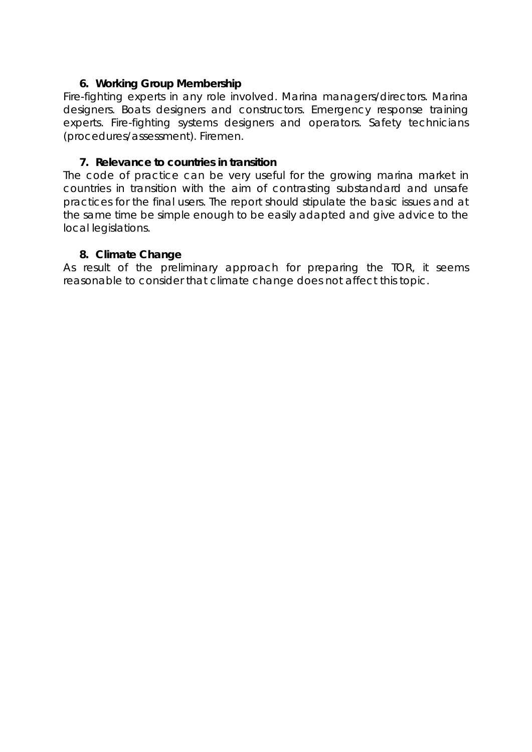#### **6. Working Group Membership**

Fire-fighting experts in any role involved. Marina managers/directors. Marina designers. Boats designers and constructors. Emergency response training experts. Fire-fighting systems designers and operators. Safety technicians (procedures/assessment). Firemen.

#### **7. Relevance to countries in transition**

The code of practice can be very useful for the growing marina market in countries in transition with the aim of contrasting substandard and unsafe practices for the final users. The report should stipulate the basic issues and at the same time be simple enough to be easily adapted and give advice to the local legislations.

#### **8. Climate Change**

As result of the preliminary approach for preparing the TOR, it seems reasonable to consider that climate change does not affect this topic.